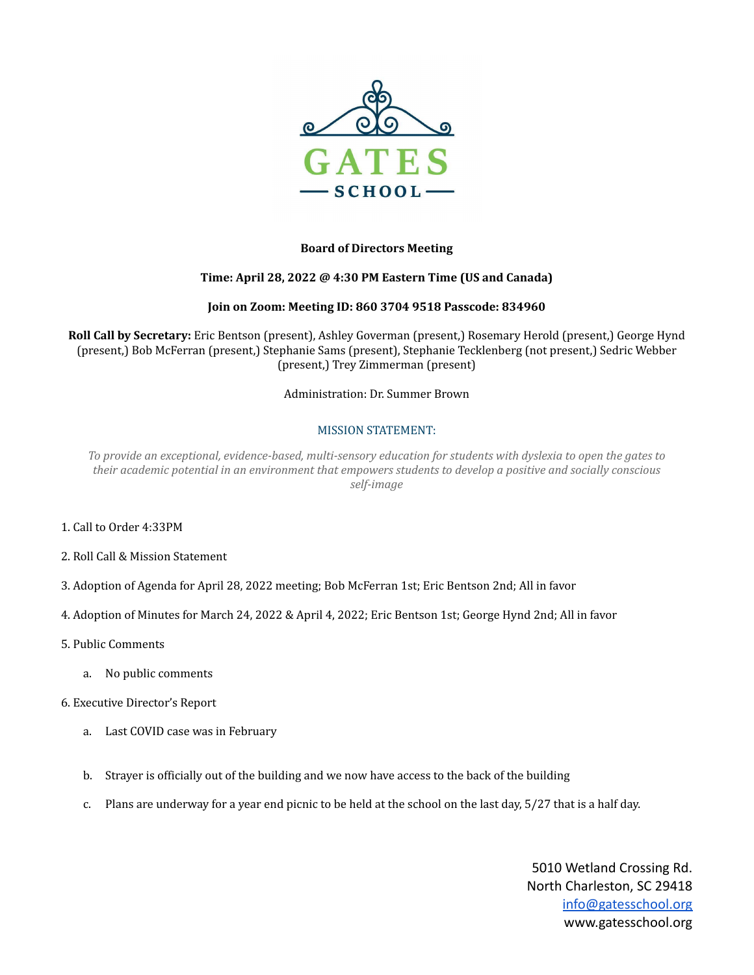

## **Board of Directors Meeting**

## **Time: April 28, 2022 @ 4:30 PM Eastern Time (US and Canada)**

### **Join on Zoom: Meeting ID: 860 3704 9518 Passcode: 834960**

**Roll Call by Secretary:** Eric Bentson (present), Ashley Goverman (present,) Rosemary Herold (present,) George Hynd (present,) Bob McFerran (present,) Stephanie Sams (present), Stephanie Tecklenberg (not present,) Sedric Webber (present,) Trey Zimmerman (present)

Administration: Dr. Summer Brown

### MISSION STATEMENT:

To provide an exceptional, evidence-based, multi-sensory education for students with dyslexia to open the gates to *their academic potential in an environment that empowers students to develop a positive and socially conscious self-image*

- 1. Call to Order 4:33PM
- 2. Roll Call & Mission Statement
- 3. Adoption of Agenda for April 28, 2022 meeting; Bob McFerran 1st; Eric Bentson 2nd; All in favor
- 4. Adoption of Minutes for March 24, 2022 & April 4, 2022; Eric Bentson 1st; George Hynd 2nd; All in favor
- 5. Public Comments
	- a. No public comments
- 6. Executive Director's Report
	- a. Last COVID case was in February
	- b. Strayer is officially out of the building and we now have access to the back of the building
	- c. Plans are underway for a year end picnic to be held at the school on the last day, 5/27 that is a half day.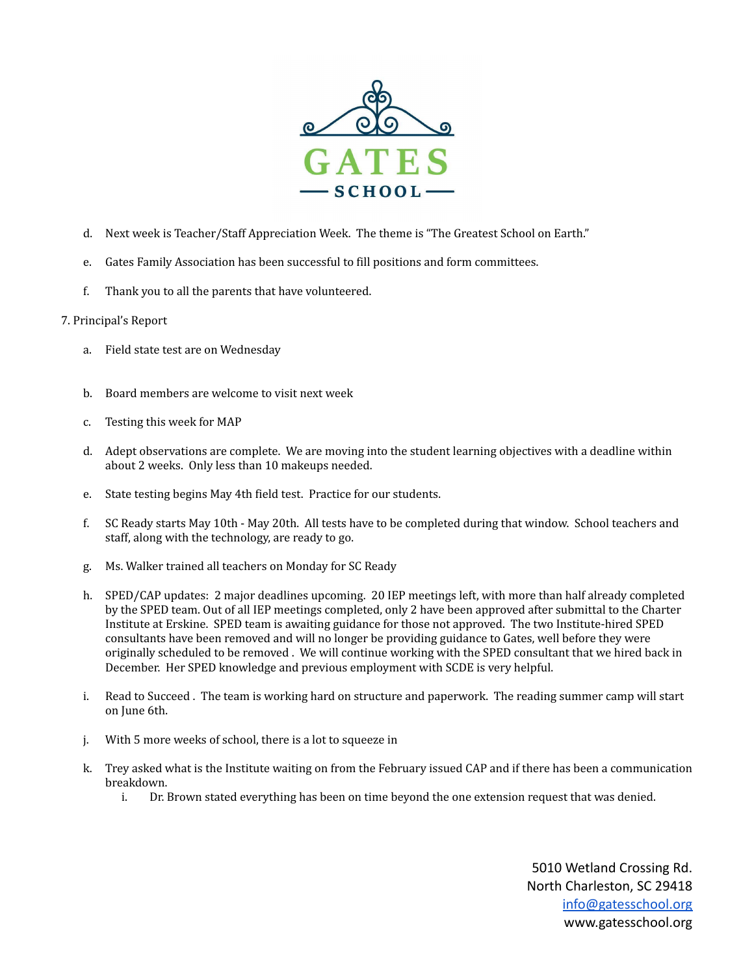

- d. Next week is Teacher/Staff Appreciation Week. The theme is "The Greatest School on Earth."
- e. Gates Family Association has been successful to fill positions and form committees.
- f. Thank you to all the parents that have volunteered.

### 7. Principal's Report

- a. Field state test are on Wednesday
- b. Board members are welcome to visit next week
- c. Testing this week for MAP
- d. Adept observations are complete. We are moving into the student learning objectives with a deadline within about 2 weeks. Only less than 10 makeups needed.
- e. State testing begins May 4th field test. Practice for our students.
- f. SC Ready starts May 10th May 20th. All tests have to be completed during that window. School teachers and staff, along with the technology, are ready to go.
- g. Ms. Walker trained all teachers on Monday for SC Ready
- h. SPED/CAP updates: 2 major deadlines upcoming. 20 IEP meetings left, with more than half already completed by the SPED team. Out of all IEP meetings completed, only 2 have been approved after submittal to the Charter Institute at Erskine. SPED team is awaiting guidance for those not approved. The two Institute-hired SPED consultants have been removed and will no longer be providing guidance to Gates, well before they were originally scheduled to be removed . We will continue working with the SPED consultant that we hired back in December. Her SPED knowledge and previous employment with SCDE is very helpful.
- i. Read to Succeed . The team is working hard on structure and paperwork. The reading summer camp will start on June 6th.
- j. With 5 more weeks of school, there is a lot to squeeze in
- k. Trey asked what is the Institute waiting on from the February issued CAP and if there has been a communication breakdown.
	- i. Dr. Brown stated everything has been on time beyond the one extension request that was denied.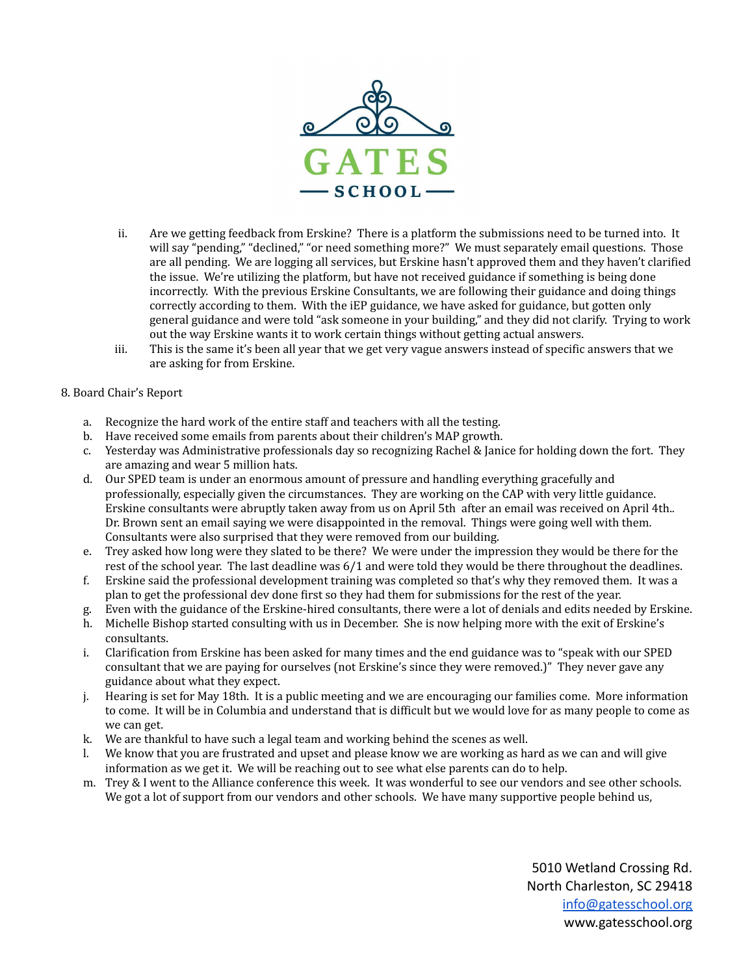

- ii. Are we getting feedback from Erskine? There is a platform the submissions need to be turned into. It will say "pending," "declined," "or need something more?" We must separately email questions. Those are all pending. We are logging all services, but Erskine hasn't approved them and they haven't clarified the issue. We're utilizing the platform, but have not received guidance if something is being done incorrectly. With the previous Erskine Consultants, we are following their guidance and doing things correctly according to them. With the iEP guidance, we have asked for guidance, but gotten only general guidance and were told "ask someone in your building," and they did not clarify. Trying to work out the way Erskine wants it to work certain things without getting actual answers.
- iii. This is the same it's been all year that we get very vague answers instead of specific answers that we are asking for from Erskine.

## 8. Board Chair's Report

- a. Recognize the hard work of the entire staff and teachers with all the testing.
- b. Have received some emails from parents about their children's MAP growth.
- c. Yesterday was Administrative professionals day so recognizing Rachel & Janice for holding down the fort. They are amazing and wear 5 million hats.
- d. Our SPED team is under an enormous amount of pressure and handling everything gracefully and professionally, especially given the circumstances. They are working on the CAP with very little guidance. Erskine consultants were abruptly taken away from us on April 5th after an email was received on April 4th.. Dr. Brown sent an email saying we were disappointed in the removal. Things were going well with them. Consultants were also surprised that they were removed from our building.
- e. Trey asked how long were they slated to be there? We were under the impression they would be there for the rest of the school year. The last deadline was 6/1 and were told they would be there throughout the deadlines.
- f. Erskine said the professional development training was completed so that's why they removed them. It was a plan to get the professional dev done first so they had them for submissions for the rest of the year.
- g. Even with the guidance of the Erskine-hired consultants, there were a lot of denials and edits needed by Erskine.
- h. Michelle Bishop started consulting with us in December. She is now helping more with the exit of Erskine's consultants.
- i. Clarification from Erskine has been asked for many times and the end guidance was to "speak with our SPED consultant that we are paying for ourselves (not Erskine's since they were removed.)" They never gave any guidance about what they expect.
- j. Hearing is set for May 18th. It is a public meeting and we are encouraging our families come. More information to come. It will be in Columbia and understand that is difficult but we would love for as many people to come as we can get.
- k. We are thankful to have such a legal team and working behind the scenes as well.
- l. We know that you are frustrated and upset and please know we are working as hard as we can and will give information as we get it. We will be reaching out to see what else parents can do to help.
- m. Trey & I went to the Alliance conference this week. It was wonderful to see our vendors and see other schools. We got a lot of support from our vendors and other schools. We have many supportive people behind us,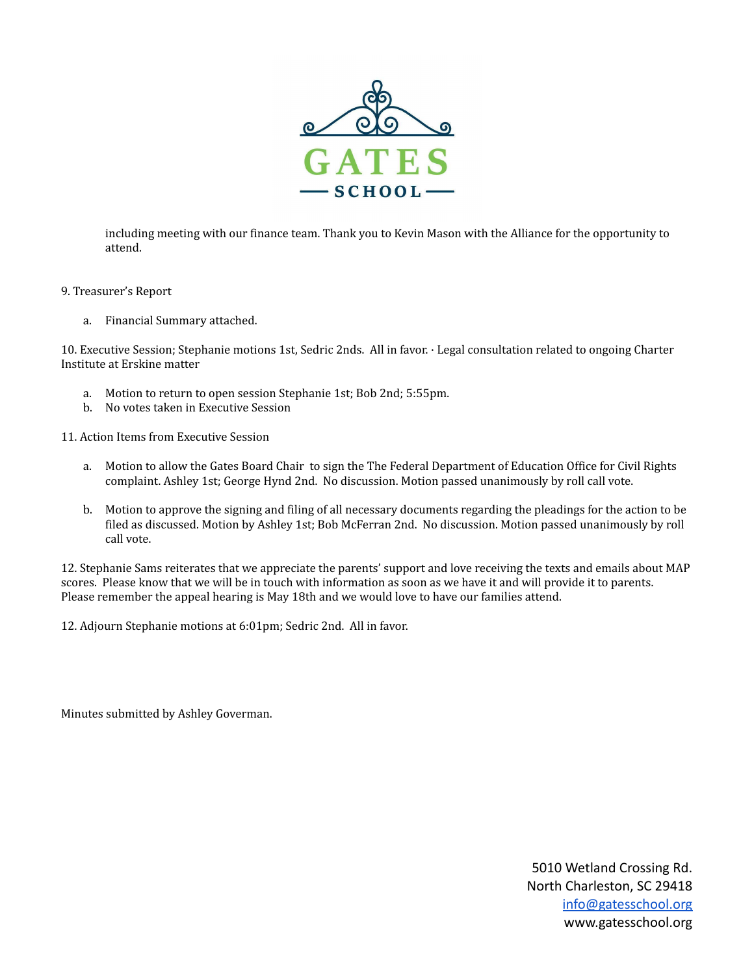

including meeting with our finance team. Thank you to Kevin Mason with the Alliance for the opportunity to attend.

- 9. Treasurer's Report
	- a. Financial Summary attached.

10. Executive Session; Stephanie motions 1st, Sedric 2nds. All in favor. · Legal consultation related to ongoing Charter Institute at Erskine matter

- a. Motion to return to open session Stephanie 1st; Bob 2nd; 5:55pm.
- b. No votes taken in Executive Session
- 11. Action Items from Executive Session
	- a. Motion to allow the Gates Board Chair to sign the The Federal Department of Education Office for Civil Rights complaint. Ashley 1st; George Hynd 2nd. No discussion. Motion passed unanimously by roll call vote.
	- b. Motion to approve the signing and filing of all necessary documents regarding the pleadings for the action to be filed as discussed. Motion by Ashley 1st; Bob McFerran 2nd. No discussion. Motion passed unanimously by roll call vote.

12. Stephanie Sams reiterates that we appreciate the parents' support and love receiving the texts and emails about MAP scores. Please know that we will be in touch with information as soon as we have it and will provide it to parents. Please remember the appeal hearing is May 18th and we would love to have our families attend.

12. Adjourn Stephanie motions at 6:01pm; Sedric 2nd. All in favor.

Minutes submitted by Ashley Goverman.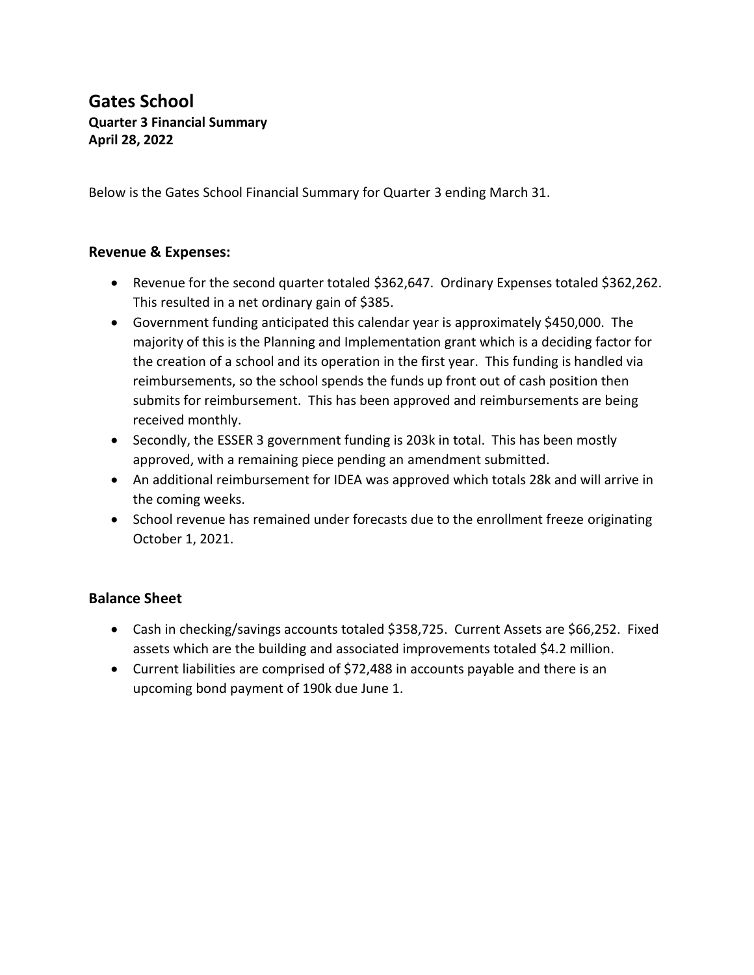# **Gates School Quarter 3 Financial Summary April 28, 2022**

Below is the Gates School Financial Summary for Quarter 3 ending March 31.

## **Revenue & Expenses:**

- Revenue for the second quarter totaled \$362,647. Ordinary Expenses totaled \$362,262. This resulted in a net ordinary gain of \$385.
- Government funding anticipated this calendar year is approximately \$450,000. The majority of this is the Planning and Implementation grant which is a deciding factor for the creation of a school and its operation in the first year. This funding is handled via reimbursements, so the school spends the funds up front out of cash position then submits for reimbursement. This has been approved and reimbursements are being received monthly.
- Secondly, the ESSER 3 government funding is 203k in total. This has been mostly approved, with a remaining piece pending an amendment submitted.
- An additional reimbursement for IDEA was approved which totals 28k and will arrive in the coming weeks.
- School revenue has remained under forecasts due to the enrollment freeze originating October 1, 2021.

# **Balance Sheet**

- Cash in checking/savings accounts totaled \$358,725. Current Assets are \$66,252. Fixed assets which are the building and associated improvements totaled \$4.2 million.
- Current liabilities are comprised of \$72,488 in accounts payable and there is an upcoming bond payment of 190k due June 1.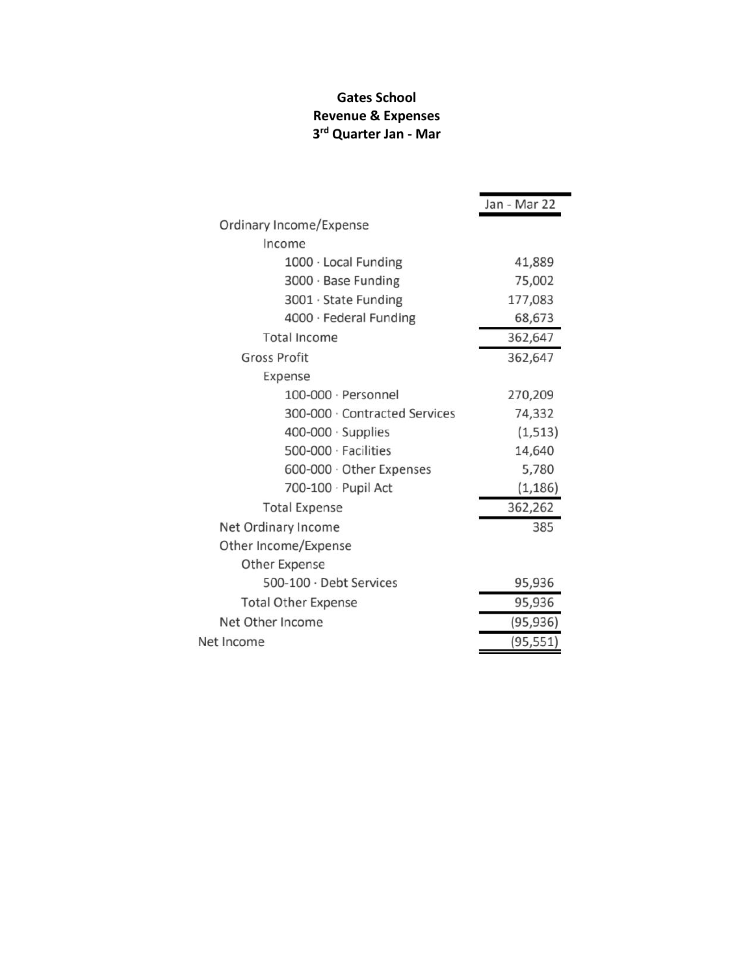# **Gates School Revenue & Expenses 3 rd Quarter Jan - Mar**

 $\blacksquare$ 

|                               | Jan - Mar 22 |
|-------------------------------|--------------|
| Ordinary Income/Expense       |              |
| Income                        |              |
| 1000 · Local Funding          | 41,889       |
| 3000 · Base Funding           | 75,002       |
| 3001 · State Funding          | 177,083      |
| 4000 · Federal Funding        | 68,673       |
| <b>Total Income</b>           | 362,647      |
| <b>Gross Profit</b>           | 362,647      |
| Expense                       |              |
| $100-000 \cdot$ Personnel     | 270,209      |
| 300-000 · Contracted Services | 74,332       |
| $400-000 \cdot$ Supplies      | (1, 513)     |
| 500-000 · Facilities          | 14,640       |
| 600-000 · Other Expenses      | 5,780        |
| 700-100 · Pupil Act           | (1, 186)     |
| <b>Total Expense</b>          | 362,262      |
| Net Ordinary Income           | 385          |
| Other Income/Expense          |              |
| <b>Other Expense</b>          |              |
| 500-100 · Debt Services       | 95,936       |
| <b>Total Other Expense</b>    | 95,936       |
| Net Other Income              | (95, 936)    |
| Net Income                    | (95, 551)    |